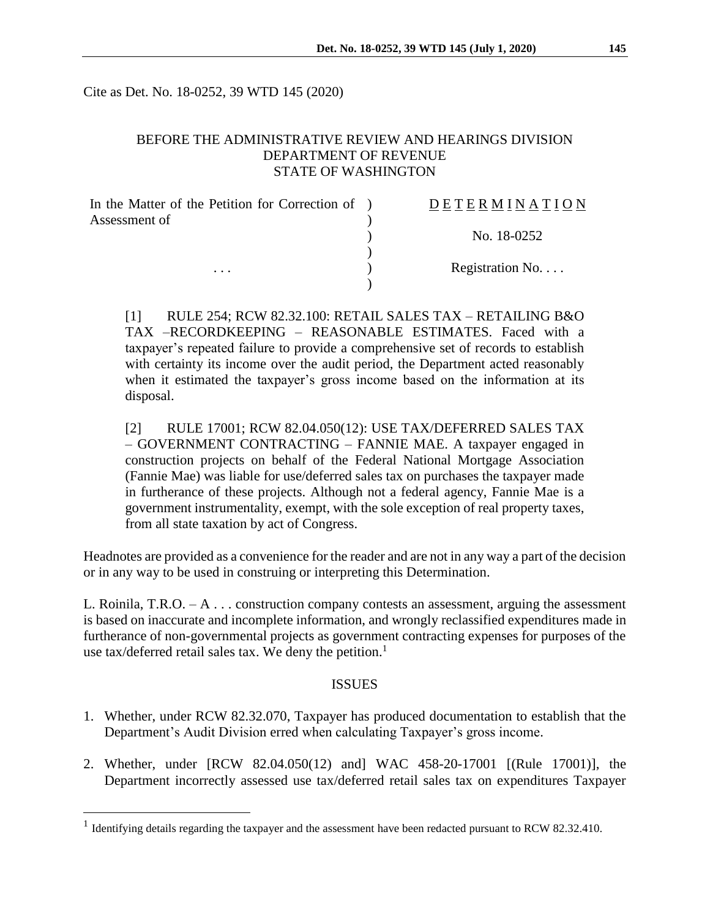Cite as Det. No. 18-0252, 39 WTD 145 (2020)

# BEFORE THE ADMINISTRATIVE REVIEW AND HEARINGS DIVISION DEPARTMENT OF REVENUE STATE OF WASHINGTON

| In the Matter of the Petition for Correction of ) | DETERMINATION   |
|---------------------------------------------------|-----------------|
| Assessment of                                     |                 |
|                                                   | No. 18-0252     |
|                                                   |                 |
| $\cdots$                                          | Registration No |
|                                                   |                 |

[1] RULE 254; RCW 82.32.100: RETAIL SALES TAX – RETAILING B&O TAX –RECORDKEEPING – REASONABLE ESTIMATES. Faced with a taxpayer's repeated failure to provide a comprehensive set of records to establish with certainty its income over the audit period, the Department acted reasonably when it estimated the taxpayer's gross income based on the information at its disposal.

[2] RULE 17001; RCW 82.04.050(12): USE TAX/DEFERRED SALES TAX – GOVERNMENT CONTRACTING – FANNIE MAE. A taxpayer engaged in construction projects on behalf of the Federal National Mortgage Association (Fannie Mae) was liable for use/deferred sales tax on purchases the taxpayer made in furtherance of these projects. Although not a federal agency, Fannie Mae is a government instrumentality, exempt, with the sole exception of real property taxes, from all state taxation by act of Congress.

Headnotes are provided as a convenience for the reader and are not in any way a part of the decision or in any way to be used in construing or interpreting this Determination.

L. Roinila, T.R.O.  $-A \dots$  construction company contests an assessment, arguing the assessment is based on inaccurate and incomplete information, and wrongly reclassified expenditures made in furtherance of non-governmental projects as government contracting expenses for purposes of the use tax/deferred retail sales tax. We deny the petition. 1

### ISSUES

- 1. Whether, under RCW 82.32.070, Taxpayer has produced documentation to establish that the Department's Audit Division erred when calculating Taxpayer's gross income.
- 2. Whether, under [RCW 82.04.050(12) and] WAC 458-20-17001 [(Rule 17001)], the Department incorrectly assessed use tax/deferred retail sales tax on expenditures Taxpayer

 $\overline{a}$ 

<sup>&</sup>lt;sup>1</sup> Identifying details regarding the taxpayer and the assessment have been redacted pursuant to RCW 82.32.410.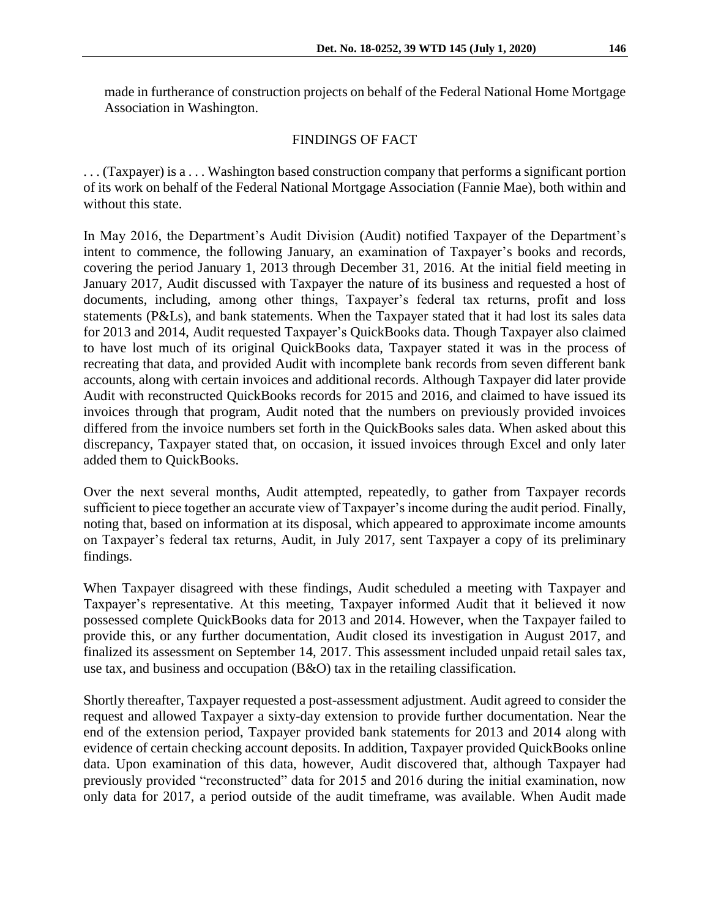made in furtherance of construction projects on behalf of the Federal National Home Mortgage Association in Washington.

# FINDINGS OF FACT

. . . (Taxpayer) is a . . . Washington based construction company that performs a significant portion of its work on behalf of the Federal National Mortgage Association (Fannie Mae), both within and without this state.

In May 2016, the Department's Audit Division (Audit) notified Taxpayer of the Department's intent to commence, the following January, an examination of Taxpayer's books and records, covering the period January 1, 2013 through December 31, 2016. At the initial field meeting in January 2017, Audit discussed with Taxpayer the nature of its business and requested a host of documents, including, among other things, Taxpayer's federal tax returns, profit and loss statements (P&Ls), and bank statements. When the Taxpayer stated that it had lost its sales data for 2013 and 2014, Audit requested Taxpayer's QuickBooks data. Though Taxpayer also claimed to have lost much of its original QuickBooks data, Taxpayer stated it was in the process of recreating that data, and provided Audit with incomplete bank records from seven different bank accounts, along with certain invoices and additional records. Although Taxpayer did later provide Audit with reconstructed QuickBooks records for 2015 and 2016, and claimed to have issued its invoices through that program, Audit noted that the numbers on previously provided invoices differed from the invoice numbers set forth in the QuickBooks sales data. When asked about this discrepancy, Taxpayer stated that, on occasion, it issued invoices through Excel and only later added them to QuickBooks.

Over the next several months, Audit attempted, repeatedly, to gather from Taxpayer records sufficient to piece together an accurate view of Taxpayer's income during the audit period. Finally, noting that, based on information at its disposal, which appeared to approximate income amounts on Taxpayer's federal tax returns, Audit, in July 2017, sent Taxpayer a copy of its preliminary findings.

When Taxpayer disagreed with these findings, Audit scheduled a meeting with Taxpayer and Taxpayer's representative. At this meeting, Taxpayer informed Audit that it believed it now possessed complete QuickBooks data for 2013 and 2014. However, when the Taxpayer failed to provide this, or any further documentation, Audit closed its investigation in August 2017, and finalized its assessment on September 14, 2017. This assessment included unpaid retail sales tax, use tax, and business and occupation (B&O) tax in the retailing classification.

Shortly thereafter, Taxpayer requested a post-assessment adjustment. Audit agreed to consider the request and allowed Taxpayer a sixty-day extension to provide further documentation. Near the end of the extension period, Taxpayer provided bank statements for 2013 and 2014 along with evidence of certain checking account deposits. In addition, Taxpayer provided QuickBooks online data. Upon examination of this data, however, Audit discovered that, although Taxpayer had previously provided "reconstructed" data for 2015 and 2016 during the initial examination, now only data for 2017, a period outside of the audit timeframe, was available. When Audit made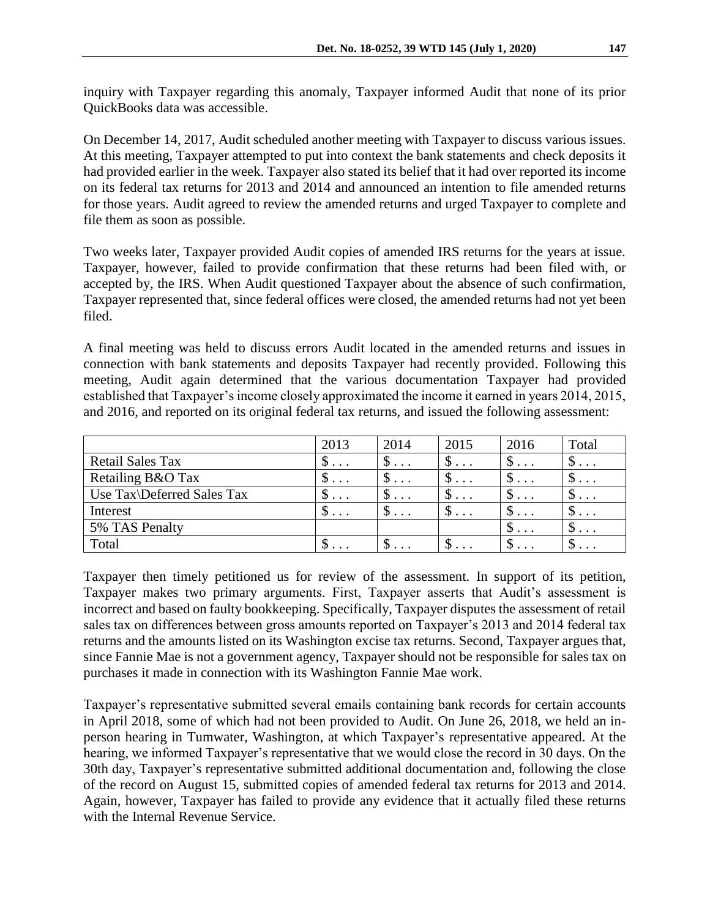inquiry with Taxpayer regarding this anomaly, Taxpayer informed Audit that none of its prior QuickBooks data was accessible.

On December 14, 2017, Audit scheduled another meeting with Taxpayer to discuss various issues. At this meeting, Taxpayer attempted to put into context the bank statements and check deposits it had provided earlier in the week. Taxpayer also stated its belief that it had over reported its income on its federal tax returns for 2013 and 2014 and announced an intention to file amended returns for those years. Audit agreed to review the amended returns and urged Taxpayer to complete and file them as soon as possible.

Two weeks later, Taxpayer provided Audit copies of amended IRS returns for the years at issue. Taxpayer, however, failed to provide confirmation that these returns had been filed with, or accepted by, the IRS. When Audit questioned Taxpayer about the absence of such confirmation, Taxpayer represented that, since federal offices were closed, the amended returns had not yet been filed.

A final meeting was held to discuss errors Audit located in the amended returns and issues in connection with bank statements and deposits Taxpayer had recently provided. Following this meeting, Audit again determined that the various documentation Taxpayer had provided established that Taxpayer's income closely approximated the income it earned in years 2014, 2015, and 2016, and reported on its original federal tax returns, and issued the following assessment:

|                            | 2013                         | 2014                             | 2015             | 2016                         | Total         |
|----------------------------|------------------------------|----------------------------------|------------------|------------------------------|---------------|
| <b>Retail Sales Tax</b>    | $\mathcal{D}$                | $\mathcal{D}$                    | $\mathfrak{D}$   | ◡<br>$\cdot$                 | $\mathcal{D}$ |
| Retailing B&O Tax          | $\mathcal{D}$                | $\mathcal{D}$                    | $\mathcal{D}$    | ◡<br>$\cdot$ $\cdot$ $\cdot$ | $\mathbb{D}$  |
| Use Tax\Deferred Sales Tax | D<br>$\cdot$ $\cdot$ $\cdot$ | $\mathcal{D}$                    | J.<br>$\ddots$ . | $\mathcal{D}$                | $\mathcal{D}$ |
| Interest                   | $\mathcal{D}$                | $\mathfrak{D}$                   | $\mathbb{S}$     | $\mathcal{D}$                | $\mathcal{D}$ |
| 5% TAS Penalty             |                              |                                  |                  | $\cdot$                      | $\mathcal{D}$ |
| Total                      | $\mathcal{D}$                | $\mathfrak{D} \cdot \cdot \cdot$ | $\mathfrak{D}$   | Φ<br>$\cdot$                 | $\mathcal{D}$ |

Taxpayer then timely petitioned us for review of the assessment. In support of its petition, Taxpayer makes two primary arguments. First, Taxpayer asserts that Audit's assessment is incorrect and based on faulty bookkeeping. Specifically, Taxpayer disputes the assessment of retail sales tax on differences between gross amounts reported on Taxpayer's 2013 and 2014 federal tax returns and the amounts listed on its Washington excise tax returns. Second, Taxpayer argues that, since Fannie Mae is not a government agency, Taxpayer should not be responsible for sales tax on purchases it made in connection with its Washington Fannie Mae work.

Taxpayer's representative submitted several emails containing bank records for certain accounts in April 2018, some of which had not been provided to Audit. On June 26, 2018, we held an inperson hearing in Tumwater, Washington, at which Taxpayer's representative appeared. At the hearing, we informed Taxpayer's representative that we would close the record in 30 days. On the 30th day, Taxpayer's representative submitted additional documentation and, following the close of the record on August 15, submitted copies of amended federal tax returns for 2013 and 2014. Again, however, Taxpayer has failed to provide any evidence that it actually filed these returns with the Internal Revenue Service.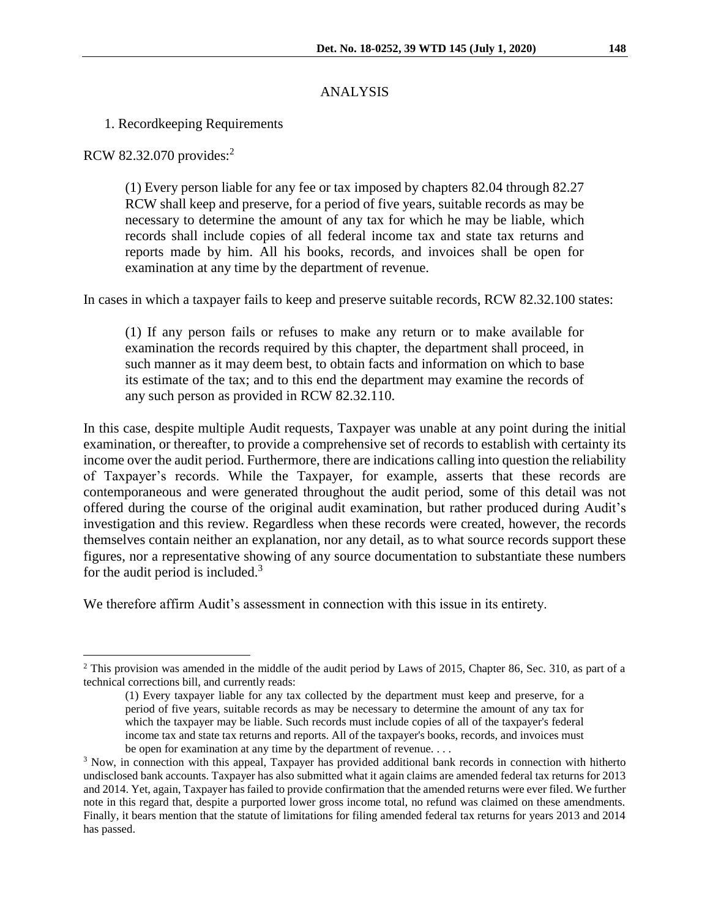## ANALYSIS

## 1. Recordkeeping Requirements

RCW 82.32.070 provides:<sup>2</sup>

 $\overline{a}$ 

(1) Every person liable for any fee or tax imposed by chapters 82.04 through 82.27 RCW shall keep and preserve, for a period of five years, suitable records as may be necessary to determine the amount of any tax for which he may be liable, which records shall include copies of all federal income tax and state tax returns and reports made by him. All his books, records, and invoices shall be open for examination at any time by the department of revenue.

In cases in which a taxpayer fails to keep and preserve suitable records, RCW 82.32.100 states:

(1) If any person fails or refuses to make any return or to make available for examination the records required by this chapter, the department shall proceed, in such manner as it may deem best, to obtain facts and information on which to base its estimate of the tax; and to this end the department may examine the records of any such person as provided in RCW 82.32.110.

In this case, despite multiple Audit requests, Taxpayer was unable at any point during the initial examination, or thereafter, to provide a comprehensive set of records to establish with certainty its income over the audit period. Furthermore, there are indications calling into question the reliability of Taxpayer's records. While the Taxpayer, for example, asserts that these records are contemporaneous and were generated throughout the audit period, some of this detail was not offered during the course of the original audit examination, but rather produced during Audit's investigation and this review. Regardless when these records were created, however, the records themselves contain neither an explanation, nor any detail, as to what source records support these figures, nor a representative showing of any source documentation to substantiate these numbers for the audit period is included.<sup>3</sup>

We therefore affirm Audit's assessment in connection with this issue in its entirety.

<sup>&</sup>lt;sup>2</sup> This provision was amended in the middle of the audit period by Laws of 2015, Chapter 86, Sec. 310, as part of a technical corrections bill, and currently reads:

<sup>(1)</sup> Every taxpayer liable for any tax collected by the department must keep and preserve, for a period of five years, suitable records as may be necessary to determine the amount of any tax for which the taxpayer may be liable. Such records must include copies of all of the taxpayer's federal income tax and state tax returns and reports. All of the taxpayer's books, records, and invoices must be open for examination at any time by the department of revenue. . . .

<sup>&</sup>lt;sup>3</sup> Now, in connection with this appeal, Taxpayer has provided additional bank records in connection with hitherto undisclosed bank accounts. Taxpayer has also submitted what it again claims are amended federal tax returns for 2013 and 2014. Yet, again, Taxpayer has failed to provide confirmation that the amended returns were ever filed. We further note in this regard that, despite a purported lower gross income total, no refund was claimed on these amendments. Finally, it bears mention that the statute of limitations for filing amended federal tax returns for years 2013 and 2014 has passed.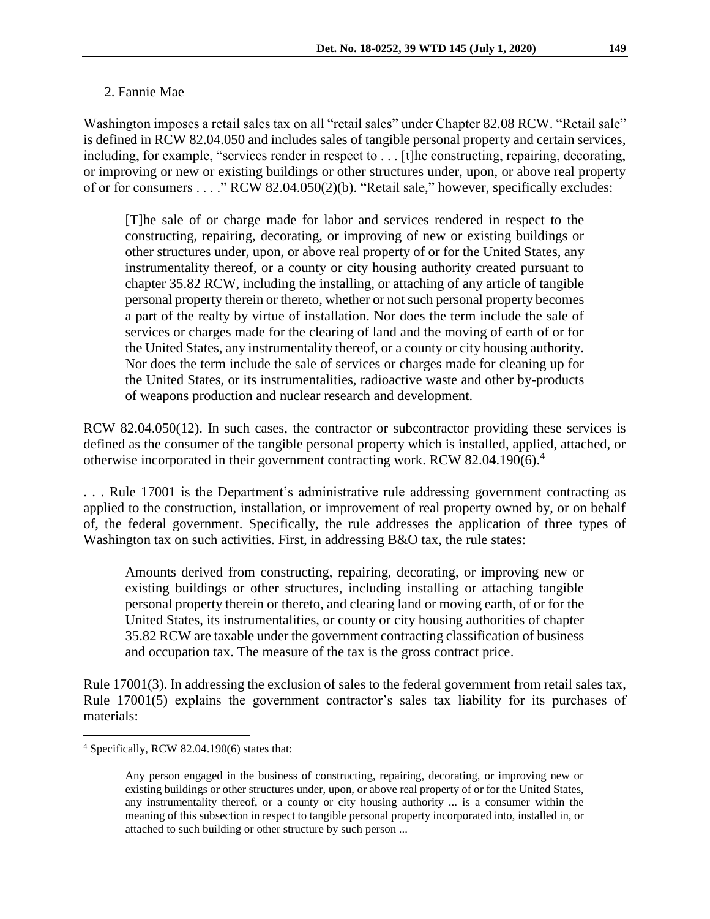## 2. Fannie Mae

Washington imposes a retail sales tax on all "retail sales" under Chapter 82.08 RCW. "Retail sale" is defined in RCW 82.04.050 and includes sales of tangible personal property and certain services, including, for example, "services render in respect to . . . [t]he constructing, repairing, decorating, or improving or new or existing buildings or other structures under, upon, or above real property of or for consumers . . . ." RCW 82.04.050(2)(b). "Retail sale," however, specifically excludes:

[T]he sale of or charge made for labor and services rendered in respect to the constructing, repairing, decorating, or improving of new or existing buildings or other structures under, upon, or above real property of or for the United States, any instrumentality thereof, or a county or city housing authority created pursuant to chapter 35.82 RCW, including the installing, or attaching of any article of tangible personal property therein or thereto, whether or not such personal property becomes a part of the realty by virtue of installation. Nor does the term include the sale of services or charges made for the clearing of land and the moving of earth of or for the United States, any instrumentality thereof, or a county or city housing authority. Nor does the term include the sale of services or charges made for cleaning up for the United States, or its instrumentalities, radioactive waste and other by-products of weapons production and nuclear research and development.

RCW 82.04.050(12). In such cases, the contractor or subcontractor providing these services is defined as the consumer of the tangible personal property which is installed, applied, attached, or otherwise incorporated in their government contracting work. RCW 82.04.190(6). 4

. . . Rule 17001 is the Department's administrative rule addressing government contracting as applied to the construction, installation, or improvement of real property owned by, or on behalf of, the federal government. Specifically, the rule addresses the application of three types of Washington tax on such activities. First, in addressing B&O tax, the rule states:

Amounts derived from constructing, repairing, decorating, or improving new or existing buildings or other structures, including installing or attaching tangible personal property therein or thereto, and clearing land or moving earth, of or for the United States, its instrumentalities, or county or city housing authorities of chapter 35.82 RCW are taxable under the government contracting classification of business and occupation tax. The measure of the tax is the gross contract price.

Rule 17001(3). In addressing the exclusion of sales to the federal government from retail sales tax, Rule 17001(5) explains the government contractor's sales tax liability for its purchases of materials:

 $\overline{a}$ 

<sup>4</sup> Specifically, RCW 82.04.190(6) states that:

Any person engaged in the business of constructing, repairing, decorating, or improving new or existing buildings or other structures under, upon, or above real property of or for the United States, any instrumentality thereof, or a county or city housing authority ... is a consumer within the meaning of this subsection in respect to tangible personal property incorporated into, installed in, or attached to such building or other structure by such person ...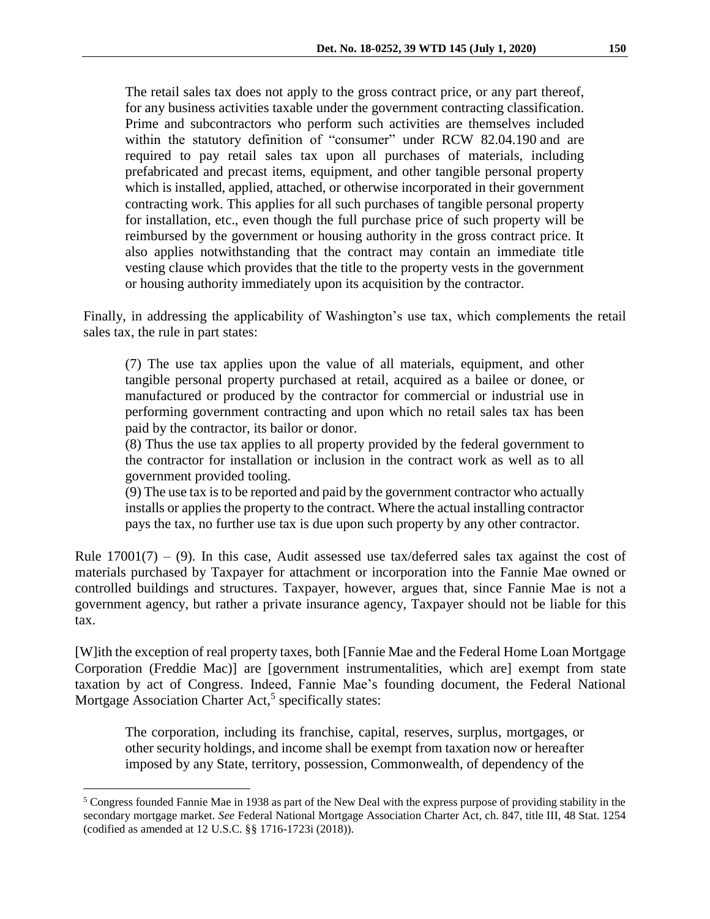The retail sales tax does not apply to the gross contract price, or any part thereof, for any business activities taxable under the government contracting classification. Prime and subcontractors who perform such activities are themselves included within the statutory definition of "consumer" under RCW 82.04.190 and are required to pay retail sales tax upon all purchases of materials, including prefabricated and precast items, equipment, and other tangible personal property which is installed, applied, attached, or otherwise incorporated in their government contracting work. This applies for all such purchases of tangible personal property for installation, etc., even though the full purchase price of such property will be reimbursed by the government or housing authority in the gross contract price. It also applies notwithstanding that the contract may contain an immediate title vesting clause which provides that the title to the property vests in the government or housing authority immediately upon its acquisition by the contractor.

Finally, in addressing the applicability of Washington's use tax, which complements the retail sales tax, the rule in part states:

(7) The use tax applies upon the value of all materials, equipment, and other tangible personal property purchased at retail, acquired as a bailee or donee, or manufactured or produced by the contractor for commercial or industrial use in performing government contracting and upon which no retail sales tax has been paid by the contractor, its bailor or donor.

(8) Thus the use tax applies to all property provided by the federal government to the contractor for installation or inclusion in the contract work as well as to all government provided tooling.

(9) The use tax is to be reported and paid by the government contractor who actually installs or applies the property to the contract. Where the actual installing contractor pays the tax, no further use tax is due upon such property by any other contractor.

Rule  $17001(7) - (9)$ . In this case, Audit assessed use tax/deferred sales tax against the cost of materials purchased by Taxpayer for attachment or incorporation into the Fannie Mae owned or controlled buildings and structures. Taxpayer, however, argues that, since Fannie Mae is not a government agency, but rather a private insurance agency, Taxpayer should not be liable for this tax.

[W]ith the exception of real property taxes, both [Fannie Mae and the Federal Home Loan Mortgage Corporation (Freddie Mac)] are [government instrumentalities, which are] exempt from state taxation by act of Congress. Indeed, Fannie Mae's founding document, the Federal National Mortgage Association Charter Act,<sup>5</sup> specifically states:

The corporation, including its franchise, capital, reserves, surplus, mortgages, or other security holdings, and income shall be exempt from taxation now or hereafter imposed by any State, territory, possession, Commonwealth, of dependency of the

 $\overline{a}$ 

<sup>5</sup> Congress founded Fannie Mae in 1938 as part of the New Deal with the express purpose of providing stability in the secondary mortgage market. *See* Federal National Mortgage Association Charter Act, ch. 847, title III, 48 Stat. 1254 (codified as amended at 12 U.S.C. §§ 1716-1723i (2018)).